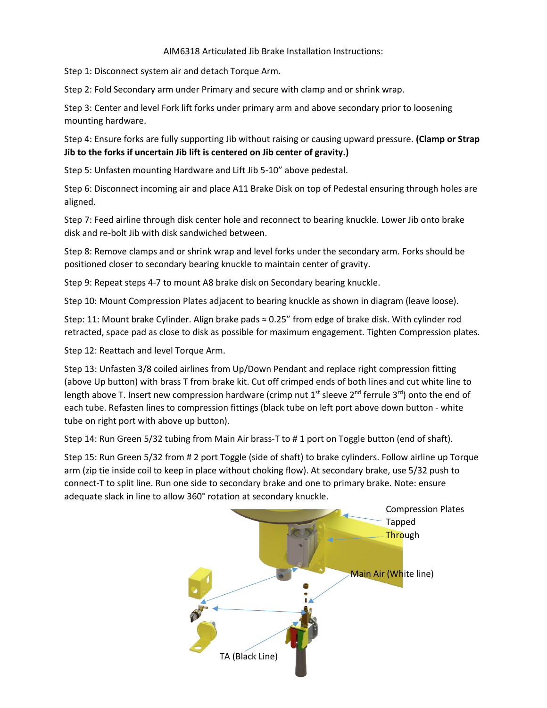## AIM6318 Articulated Jib Brake Installation Instructions:

Step 1: Disconnect system air and detach Torque Arm.

Step 2: Fold Secondary arm under Primary and secure with clamp and or shrink wrap.

Step 3: Center and level Fork lift forks under primary arm and above secondary prior to loosening mounting hardware.

Step 4: Ensure forks are fully supporting Jib without raising or causing upward pressure. **(Clamp or Strap Jib to the forks if uncertain Jib lift is centered on Jib center of gravity.)**

Step 5: Unfasten mounting Hardware and Lift Jib 5-10" above pedestal.

Step 6: Disconnect incoming air and place A11 Brake Disk on top of Pedestal ensuring through holes are aligned.

Step 7: Feed airline through disk center hole and reconnect to bearing knuckle. Lower Jib onto brake disk and re-bolt Jib with disk sandwiched between.

Step 8: Remove clamps and or shrink wrap and level forks under the secondary arm. Forks should be positioned closer to secondary bearing knuckle to maintain center of gravity.

Step 9: Repeat steps 4-7 to mount A8 brake disk on Secondary bearing knuckle.

Step 10: Mount Compression Plates adjacent to bearing knuckle as shown in diagram (leave loose).

Step: 11: Mount brake Cylinder. Align brake pads ≈ 0.25" from edge of brake disk. With cylinder rod retracted, space pad as close to disk as possible for maximum engagement. Tighten Compression plates.

Step 12: Reattach and level Torque Arm.

Step 13: Unfasten 3/8 coiled airlines from Up/Down Pendant and replace right compression fitting (above Up button) with brass T from brake kit. Cut off crimped ends of both lines and cut white line to length above T. Insert new compression hardware (crimp nut 1<sup>st</sup> sleeve 2<sup>nd</sup> ferrule 3<sup>rd</sup>) onto the end of each tube. Refasten lines to compression fittings (black tube on left port above down button - white tube on right port with above up button).

Step 14: Run Green 5/32 tubing from Main Air brass-T to # 1 port on Toggle button (end of shaft).

Step 15: Run Green 5/32 from # 2 port Toggle (side of shaft) to brake cylinders. Follow airline up Torque arm (zip tie inside coil to keep in place without choking flow). At secondary brake, use 5/32 push to connect-T to split line. Run one side to secondary brake and one to primary brake. Note: ensure adequate slack in line to allow 360° rotation at secondary knuckle.